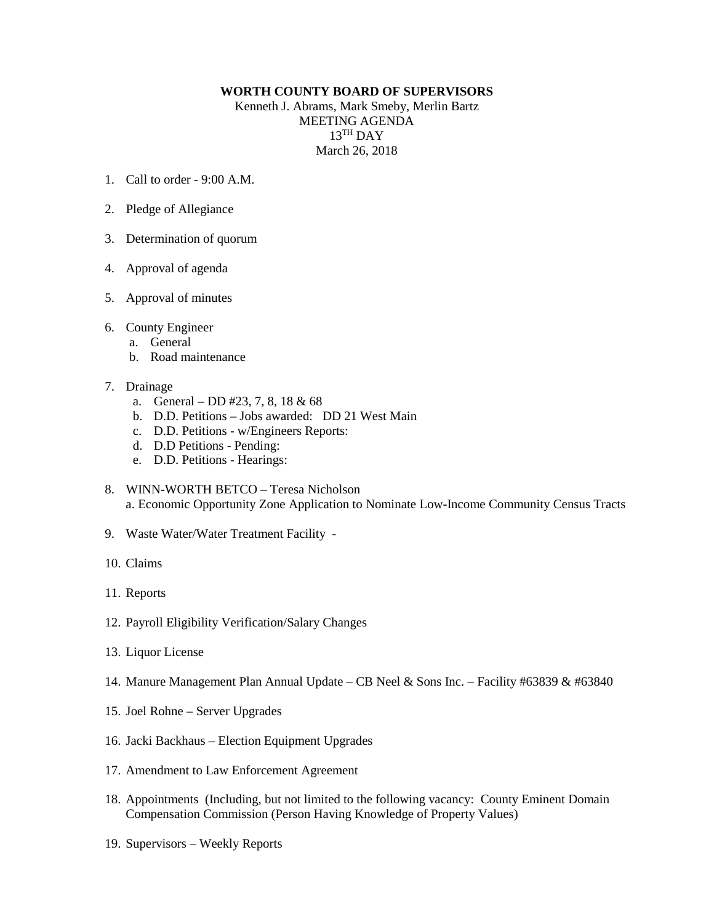## **WORTH COUNTY BOARD OF SUPERVISORS**

Kenneth J. Abrams, Mark Smeby, Merlin Bartz MEETING AGENDA 13TH DAY March 26, 2018

- 1. Call to order  $9.00 \text{ A M}$
- 2. Pledge of Allegiance
- 3. Determination of quorum
- 4. Approval of agenda
- 5. Approval of minutes
- 6. County Engineer
	- a. General
	- b. Road maintenance
- 7. Drainage
	- a. General DD #23, 7, 8, 18 & 68
	- b. D.D. Petitions Jobs awarded: DD 21 West Main
	- c. D.D. Petitions w/Engineers Reports:
	- d. D.D Petitions Pending:
	- e. D.D. Petitions Hearings:
- 8. WINN-WORTH BETCO Teresa Nicholson a. Economic Opportunity Zone Application to Nominate Low-Income Community Census Tracts
- 9. Waste Water/Water Treatment Facility -
- 10. Claims
- 11. Reports
- 12. Payroll Eligibility Verification/Salary Changes
- 13. Liquor License
- 14. Manure Management Plan Annual Update CB Neel & Sons Inc. Facility #63839 & #63840
- 15. Joel Rohne Server Upgrades
- 16. Jacki Backhaus Election Equipment Upgrades
- 17. Amendment to Law Enforcement Agreement
- 18. Appointments (Including, but not limited to the following vacancy: County Eminent Domain Compensation Commission (Person Having Knowledge of Property Values)
- 19. Supervisors Weekly Reports